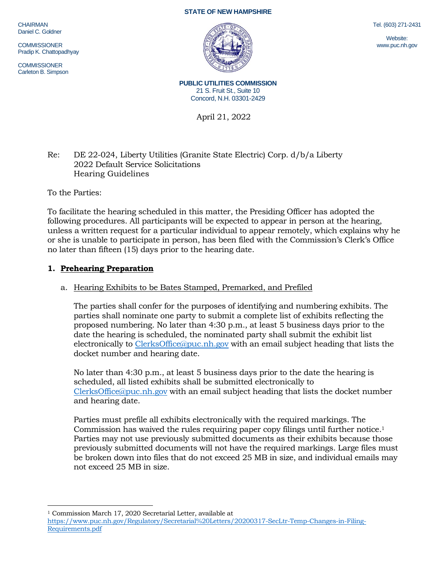CHAIRMAN Daniel C. Goldner

**COMMISSIONER** Pradip K. Chattopadhyay

COMMISSIONER Carleton B. Simpson





**PUBLIC UTILITIES COMMISSION** 21 S. Fruit St., Suite 10 Concord, N.H. 03301-2429

April 21, 2022

# Re: DE 22-024, Liberty Utilities (Granite State Electric) Corp. d/b/a Liberty 2022 Default Service Solicitations Hearing Guidelines

To the Parties:

To facilitate the hearing scheduled in this matter, the Presiding Officer has adopted the following procedures. All participants will be expected to appear in person at the hearing, unless a written request for a particular individual to appear remotely, which explains why he or she is unable to participate in person, has been filed with the Commission's Clerk's Office no later than fifteen (15) days prior to the hearing date.

# **1. Prehearing Preparation**

## a. Hearing Exhibits to be Bates Stamped, Premarked, and Prefiled

The parties shall confer for the purposes of identifying and numbering exhibits. The parties shall nominate one party to submit a complete list of exhibits reflecting the proposed numbering. No later than 4:30 p.m., at least 5 business days prior to the date the hearing is scheduled, the nominated party shall submit the exhibit list electronically to [ClerksOffice@puc.nh.gov](mailto:ClerksOffice@puc.nh.gov) with an email subject heading that lists the docket number and hearing date.

No later than 4:30 p.m., at least 5 business days prior to the date the hearing is scheduled, all listed exhibits shall be submitted electronically to [ClerksOffice@puc.nh.gov](mailto:Clerks.Office@puc.nh.gov) with an email subject heading that lists the docket number and hearing date.

Parties must prefile all exhibits electronically with the required markings. The Commission has waived the rules requiring paper copy filings until further notice. 1 Parties may not use previously submitted documents as their exhibits because those previously submitted documents will not have the required markings. Large files must be broken down into files that do not exceed 25 MB in size, and individual emails may not exceed 25 MB in size.

<sup>1</sup> Commission March 17, 2020 Secretarial Letter, available at

Tel. (603) 271-2431

Website: www.puc.nh.gov

[https://www.puc.nh.gov/Regulatory/Secretarial%20Letters/20200317-SecLtr-Temp-Changes-in-Filing-](https://www.puc.nh.gov/Regulatory/Secretarial%20Letters/20200317-SecLtr-Temp-Changes-in-Filing-Requirements.pdf)[Requirements.pdf](https://www.puc.nh.gov/Regulatory/Secretarial%20Letters/20200317-SecLtr-Temp-Changes-in-Filing-Requirements.pdf)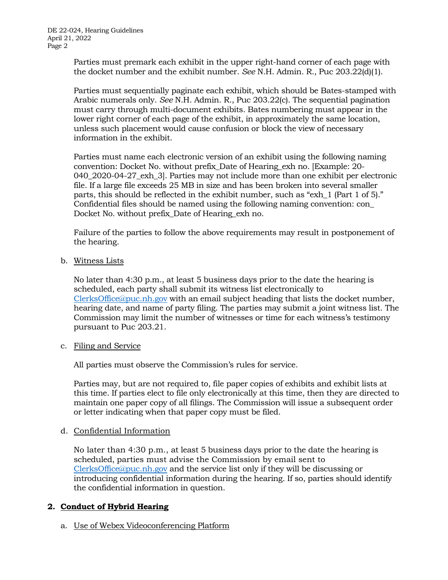Parties must premark each exhibit in the upper right-hand corner of each page with the docket number and the exhibit number. *See* N.H. Admin. R., Puc 203.22(d)(1).

Parties must sequentially paginate each exhibit, which should be Bates-stamped with Arabic numerals only. *See* N.H. Admin. R., Puc 203.22(c). The sequential pagination must carry through multi-document exhibits. Bates numbering must appear in the lower right corner of each page of the exhibit, in approximately the same location, unless such placement would cause confusion or block the view of necessary information in the exhibit.

Parties must name each electronic version of an exhibit using the following naming convention: Docket No. without prefix\_Date of Hearing\_exh no. [Example: 20- 040\_2020-04-27\_exh\_3]. Parties may not include more than one exhibit per electronic file. If a large file exceeds 25 MB in size and has been broken into several smaller parts, this should be reflected in the exhibit number, such as "exh\_1 (Part 1 of 5)." Confidential files should be named using the following naming convention: con\_ Docket No. without prefix\_Date of Hearing\_exh no.

Failure of the parties to follow the above requirements may result in postponement of the hearing.

b. Witness Lists

No later than 4:30 p.m., at least 5 business days prior to the date the hearing is scheduled, each party shall submit its witness list electronically to [ClerksOffice@puc.nh.gov](mailto:Clerks.Office@puc.nh.gov) with an email subject heading that lists the docket number, hearing date, and name of party filing. The parties may submit a joint witness list. The Commission may limit the number of witnesses or time for each witness's testimony pursuant to Puc 203.21.

c. Filing and Service

All parties must observe the Commission's rules for service.

Parties may, but are not required to, file paper copies of exhibits and exhibit lists at this time. If parties elect to file only electronically at this time, then they are directed to maintain one paper copy of all filings. The Commission will issue a subsequent order or letter indicating when that paper copy must be filed.

## d. Confidential Information

No later than 4:30 p.m., at least 5 business days prior to the date the hearing is scheduled, parties must advise the Commission by email sent to [ClerksOffice@puc.nh.gov](mailto:Clerks.Office@puc.nh.gov) and the service list only if they will be discussing or introducing confidential information during the hearing. If so, parties should identify the confidential information in question.

# **2. Conduct of Hybrid Hearing**

a. Use of Webex Videoconferencing Platform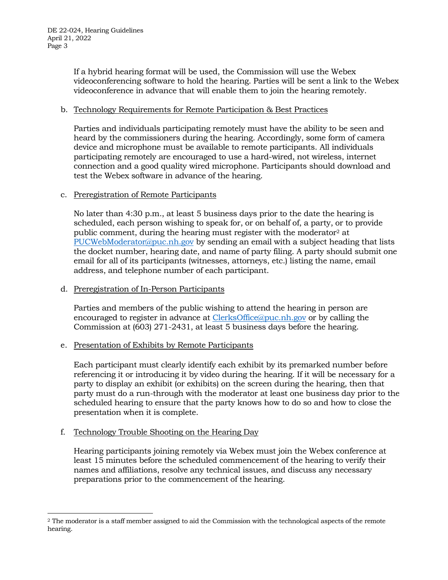If a hybrid hearing format will be used, the Commission will use the Webex videoconferencing software to hold the hearing. Parties will be sent a link to the Webex videoconference in advance that will enable them to join the hearing remotely.

#### b. Technology Requirements for Remote Participation & Best Practices

Parties and individuals participating remotely must have the ability to be seen and heard by the commissioners during the hearing. Accordingly, some form of camera device and microphone must be available to remote participants. All individuals participating remotely are encouraged to use a hard-wired, not wireless, internet connection and a good quality wired microphone. Participants should download and test the Webex software in advance of the hearing.

#### c. Preregistration of Remote Participants

No later than 4:30 p.m., at least 5 business days prior to the date the hearing is scheduled, each person wishing to speak for, or on behalf of, a party, or to provide public comment, during the hearing must register with the moderator<sup>2</sup> at [PUCWebModerator@puc.nh.gov](mailto:PUCWebModerator@puc.nh.gov) by sending an email with a subject heading that lists the docket number, hearing date, and name of party filing. A party should submit one email for all of its participants (witnesses, attorneys, etc.) listing the name, email address, and telephone number of each participant.

#### d. Preregistration of In-Person Participants

Parties and members of the public wishing to attend the hearing in person are encouraged to register in advance at [ClerksOffice@puc.nh.gov](mailto:Clerks.Office@puc.nh.gov) or by calling the Commission at (603) 271-2431, at least 5 business days before the hearing.

#### e. Presentation of Exhibits by Remote Participants

Each participant must clearly identify each exhibit by its premarked number before referencing it or introducing it by video during the hearing. If it will be necessary for a party to display an exhibit (or exhibits) on the screen during the hearing, then that party must do a run-through with the moderator at least one business day prior to the scheduled hearing to ensure that the party knows how to do so and how to close the presentation when it is complete.

## f. Technology Trouble Shooting on the Hearing Day

Hearing participants joining remotely via Webex must join the Webex conference at least 15 minutes before the scheduled commencement of the hearing to verify their names and affiliations, resolve any technical issues, and discuss any necessary preparations prior to the commencement of the hearing.

<sup>2</sup> The moderator is a staff member assigned to aid the Commission with the technological aspects of the remote hearing.